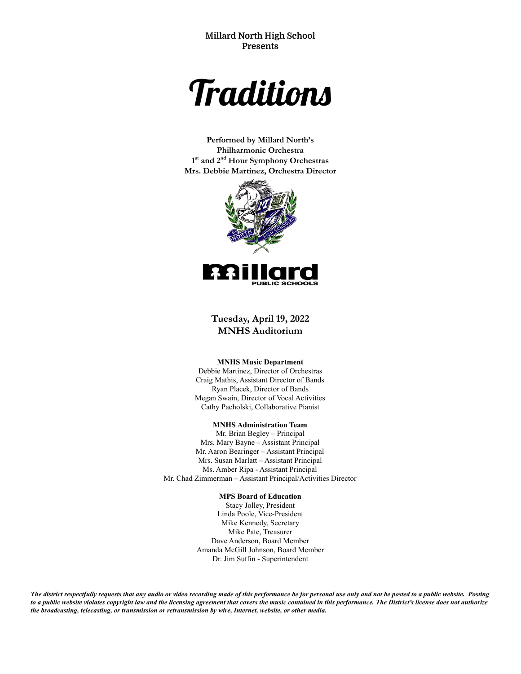**Millard North High School Presents**



**Performed by Millard North's Philharmonic Orchestra 1 st and 2 nd Hour Symphony Orchestras Mrs. Debbie Martinez, Orchestra Director**



**Tuesday, April 19, 2022 MNHS Auditorium**

#### **MNHS Music Department**

Debbie Martinez, Director of Orchestras Craig Mathis, Assistant Director of Bands Ryan Placek, Director of Bands Megan Swain, Director of Vocal Activities Cathy Pacholski, Collaborative Pianist

#### **MNHS Administration Team**

Mr. Brian Begley – Principal Mrs. Mary Bayne – Assistant Principal Mr. Aaron Bearinger – Assistant Principal Mrs. Susan Marlatt – Assistant Principal Ms. Amber Ripa - Assistant Principal Mr. Chad Zimmerman – Assistant Principal/Activities Director

#### **MPS Board of Education**

Stacy Jolley, President Linda Poole, Vice-President Mike Kennedy, Secretary Mike Pate, Treasurer Dave Anderson, Board Member Amanda McGill Johnson, Board Member Dr. Jim Sutfin - Superintendent

The district respectfully requests that any audio or video recording made of this performance be for personal use only and not be posted to a public website. Posting to a public website violates copyright law and the licensing agreement that covers the music contained in this performance. The District's license does not authorize *the broadcasting, telecasting, or transmission or retransmission by wire, Internet, website, or other media.*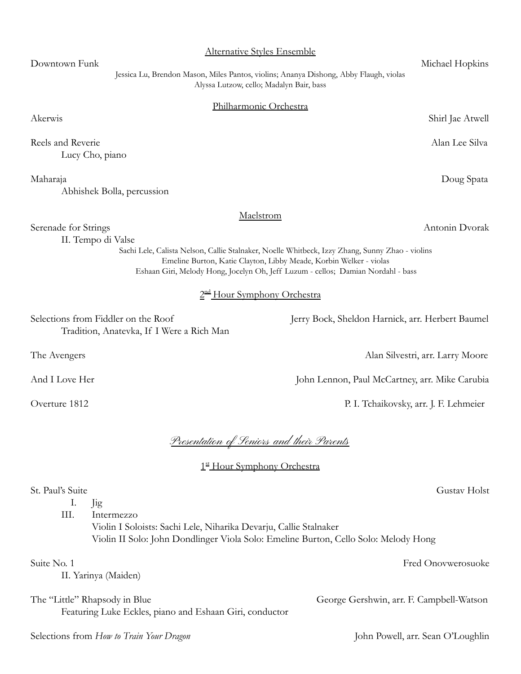| 2 <sup>nd</sup> Hour Symphony Orchestra                                                                                                                                                     |                                                  |  |
|---------------------------------------------------------------------------------------------------------------------------------------------------------------------------------------------|--------------------------------------------------|--|
| Selections from Fiddler on the Roof<br>Tradition, Anatevka, If I Were a Rich Man                                                                                                            | Jerry Bock, Sheldon Harnick, arr. Herbert Baumel |  |
| The Avengers                                                                                                                                                                                | Alan Silvestri, arr. Larry Moore                 |  |
| And I Love Her                                                                                                                                                                              | John Lennon, Paul McCartney, arr. Mike Carubia   |  |
| Overture 1812                                                                                                                                                                               | P. I. Tchaikovsky, arr. J. F. Lehmeier           |  |
| <u>Presentation of Seniors and their Parents</u><br>1st Hour Symphony Orchestra<br>St. Paul's Suite                                                                                         |                                                  |  |
| Ι.<br>Jig<br>III.<br>Intermezzo<br>Violin I Soloists: Sachi Lele, Niharika Devarju, Callie Stalnaker<br>Violin II Solo: John Dondlinger Viola Solo: Emeline Burton, Cello Solo: Melody Hong | Gustav Holst                                     |  |
| Suite No. 1<br>II. Yarinya (Maiden)                                                                                                                                                         | Fred Onovwerosuoke                               |  |
| The "Little" Rhapsody in Blue<br>Featuring Luke Eckles, piano and Eshaan Giri, conductor                                                                                                    | George Gershwin, arr. F. Campbell-Watson         |  |
| Selections from How to Train Your Dragon                                                                                                                                                    | John Powell, arr. Sean O'Loughlin                |  |

#### Alternative Styles Ensemble

Downtown Funk Michael Hopkins Jessica Lu, Brendon Mason, Miles Pantos, violins; Ananya Dishong, Abby Flaugh, violas Alyssa Lutzow, cello; Madalyn Bair, bass

#### Philharmonic Orchestra

Maelstrom

Reels and Reverie Alan Lee Silva Lucy Cho, piano

Abhishek Bolla, percussion

Serenade for Strings Antonin Dvorak

II. Tempo di Valse

Sachi Lele, Calista Nelson, Callie Stalnaker, Noelle Whitbeck, Izzy Zhang, Sunny Zhao - violins Emeline Burton, Katie Clayton, Libby Meade, Korbin Welker - violas Eshaan Giri, Melody Hong, Jocelyn Oh, Jeff Luzum - cellos; Damian Nordahl - bass

Akerwis Shirl Jae Atwell

Maharaja Doug Spata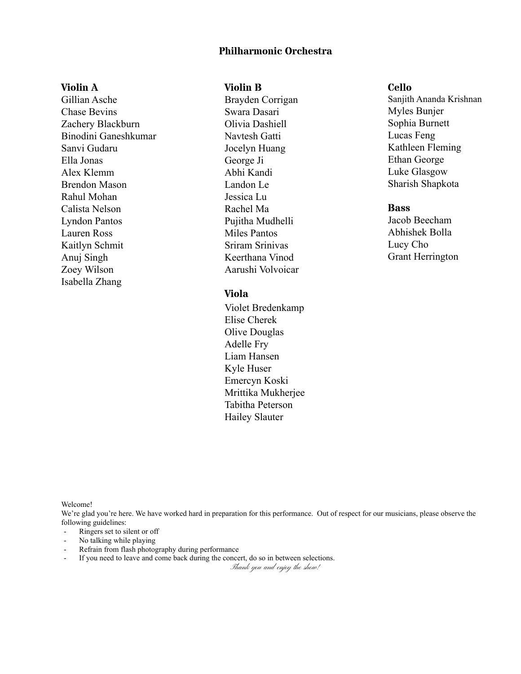# **Philharmonic Orchestra**

# **Violin A**

Gillian Asche Chase Bevins Zachery Blackburn Binodini Ganeshkumar Sanvi Gudaru Ella Jonas Alex Klemm Brendon Mason Rahul Mohan Calista Nelson Lyndon Pantos Lauren Ross Kaitlyn Schmit Anuj Singh Zoey Wilson Isabella Zhang

#### **Violin B**

Brayden Corrigan Swara Dasari Olivia Dashiell Navtesh Gatti Jocelyn Huang George Ji Abhi Kandi Landon Le Jessica Lu Rachel Ma Pujitha Mudhelli Miles Pantos Sriram Srinivas Keerthana Vinod Aarushi Volvoicar

## **Viola**

Violet Bredenkamp Elise Cherek Olive Douglas Adelle Fry Liam Hansen Kyle Huser Emercyn Koski Mrittika Mukherjee Tabitha Peterson Hailey Slauter

#### **Cello**

Sanjith Ananda Krishnan Myles Bunjer Sophia Burnett Lucas Feng Kathleen Fleming Ethan George Luke Glasgow Sharish Shapkota

#### **Bass**

Jacob Beecham Abhishek Bolla Lucy Cho Grant Herrington

Welcome!

We're glad you're here. We have worked hard in preparation for this performance. Out of respect for our musicians, please observe the following guidelines:

- Ringers set to silent or off
- No talking while playing
- Refrain from flash photography during performance
- If you need to leave and come back during the concert, do so in between selections.

Thank you and enjoy the show!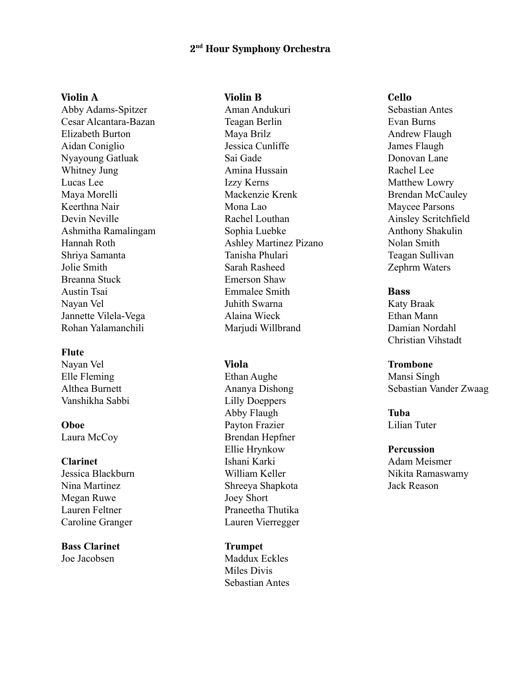# **2 nd Hour Symphony Orchestra**

#### **Violin A**

Abby Adams-Spitzer Cesar Alcantara-Bazan Elizabeth Burton Aidan Coniglio Nyayoung Gatluak Whitney Jung Lucas Lee Maya Morelli Keerthna Nair Devin Neville Ashmitha Ramalingam Hannah Roth Shriya Samanta Jolie Smith Breanna Stuck Austin Tsai Nayan Vel Jannette Vilela-Vega Rohan Yalamanchili

#### **Flute**

Nayan Vel Elle Fleming Althea Burnett Vanshikha Sabbi

## **Oboe** Laura McCoy

#### **Clarinet**

Jessica Blackburn Nina Martinez Megan Ruwe Lauren Feltner Caroline Granger

**Bass Clarinet** Joe Jacobsen

## **Violin B**

Aman Andukuri Teagan Berlin Maya Brilz Jessica Cunliffe Sai Gade Amina Hussain Izzy Kerns Mackenzie Krenk Mona Lao Rachel Louthan Sophia Luebke Ashley Martinez Pizano Tanisha Phulari Sarah Rasheed Emerson Shaw Emmalee Smith Juhith Swarna Alaina Wieck Marjudi Willbrand

#### **Viola**

Ethan Aughe Ananya Dishong Lilly Doeppers Abby Flaugh Payton Frazier Brendan Hepfner Ellie Hrynkow Ishani Karki William Keller Shreeya Shapkota Joey Short Praneetha Thutika Lauren Vierregger

## **Trumpet**

Maddux Eckles Miles Divis Sebastian Antes

#### **Cello**

Sebastian Antes Evan Burns Andrew Flaugh James Flaugh Donovan Lane Rachel Lee Matthew Lowry Brendan McCauley Maycee Parsons Ainsley Scritchfield Anthony Shakulin Nolan Smith Teagan Sullivan Zephrm Waters

#### **Bass**

Katy Braak Ethan Mann Damian Nordahl Christian Vihstadt

#### **Trombone**

Mansi Singh Sebastian Vander Zwaag

## **Tuba** Lilian Tuter

**Percussion** Adam Meismer Nikita Ramaswamy Jack Reason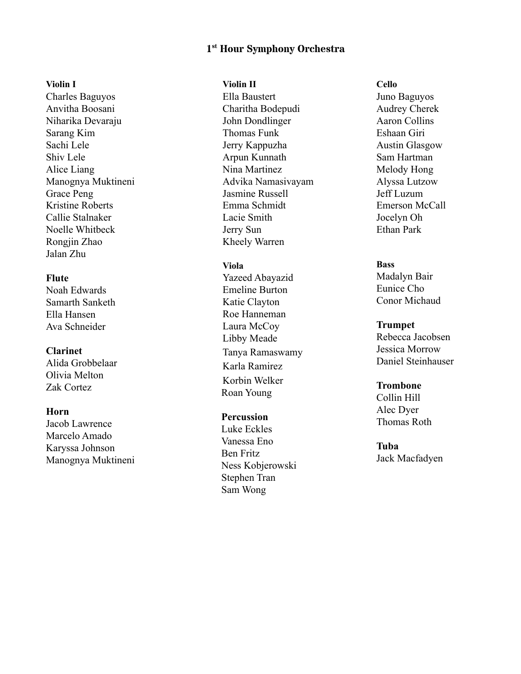# **1 s <sup>t</sup> Hour Symphony Orchestra**

#### **Vi o l i n I**

Charles Baguyos Anvitha Boosani Niharika Devaraju Sarang Kim Sachi Lele Shiv Lele Alice Liang Manognya Muktineni Grace Peng Kristine Roberts Callie Stalnaker Noelle Whitbeck Rongjin Zhao Jalan Zhu

# **Flute**

Noah Edwards Samarth Sanketh Ella Hansen Ava Schneider

# **Clarinet**

Alida Grobbelaar Olivia Melton Zak Cortez

### **Horn**

Jacob Lawrence Marcelo Amado Karyssa Johnson Manognya Muktineni

#### **Vi o l i n I I**

Ella Baustert Charitha Bodepudi John Dondlinger Thomas Funk Jerry Kappuzha Arpun Kunnath Nina Martinez Advika Namasivayam Jasmine Russell Emma Schmidt Lacie Smith Jerry Sun Kheely Warren

#### **Vi o l a**

Yazeed Abayazid Emeline Burton Katie Clayton Roe Hanneman Laura McCoy Libby Meade Tanya Ramaswamy Karla Ramirez Korbin Welker Roan Young

# **Percussion**

Luke Eckles Vanessa Eno Ben Fritz Ness Kobjerowski Stephen Tran Sam Wong

**C e l l o** Juno Baguyos Audrey Cherek Aaron Collins Eshaan Giri Austin Glasgow Sam Hartman Melody Hong Alyssa Lutzow Jeff Luzum Emerson McCall Jocelyn Oh Ethan Park

#### **Bass**

Madalyn Bair Eunice Cho Conor Michaud

#### **Trumpet**

Rebecca Jacobsen Jessica Morrow Daniel Steinhauser

## **Trombone**

Collin Hill Alec Dyer Thomas Roth

## **Tuba**

Jack Macfadyen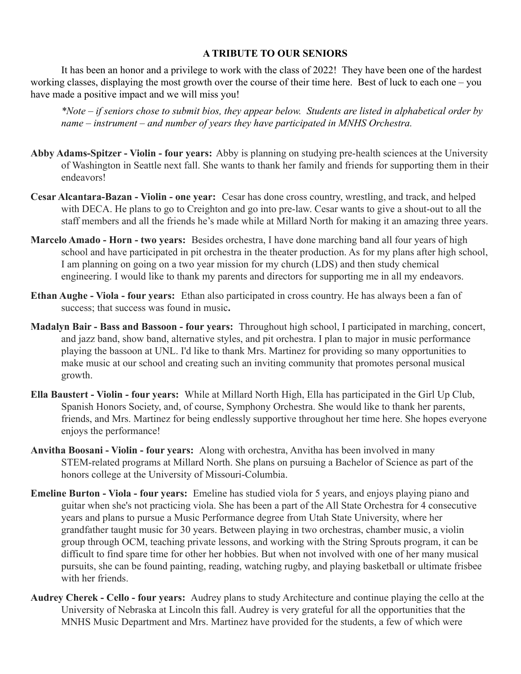# **A TRIBUTE TO OUR SENIORS**

It has been an honor and a privilege to work with the class of 2022! They have been one of the hardest working classes, displaying the most growth over the course of their time here. Best of luck to each one – you have made a positive impact and we will miss you!

*\*Note – if seniors chose to submit bios, they appear below. Students are listed in alphabetical order by name – instrument – and number of years they have participated in MNHS Orchestra.*

- **Abby Adams-Spitzer Violin four years:** Abby is planning on studying pre-health sciences at the University of Washington in Seattle next fall. She wants to thank her family and friends for supporting them in their endeavors!
- **Cesar Alcantara-Bazan Violin one year:** Cesar has done cross country, wrestling, and track, and helped with DECA. He plans to go to Creighton and go into pre-law. Cesar wants to give a shout-out to all the staff members and all the friends he's made while at Millard North for making it an amazing three years.
- **Marcelo Amado Horn two years:** Besides orchestra, I have done marching band all four years of high school and have participated in pit orchestra in the theater production. As for my plans after high school, I am planning on going on a two year mission for my church (LDS) and then study chemical engineering. I would like to thank my parents and directors for supporting me in all my endeavors.
- **Ethan Aughe Viola four years:** Ethan also participated in cross country. He has always been a fan of success; that success was found in music**.**
- **Madalyn Bair Bass and Bassoon four years:** Throughout high school, I participated in marching, concert, and jazz band, show band, alternative styles, and pit orchestra. I plan to major in music performance playing the bassoon at UNL. I'd like to thank Mrs. Martinez for providing so many opportunities to make music at our school and creating such an inviting community that promotes personal musical growth.
- **Ella Baustert Violin four years:** While at Millard North High, Ella has participated in the Girl Up Club, Spanish Honors Society, and, of course, Symphony Orchestra. She would like to thank her parents, friends, and Mrs. Martinez for being endlessly supportive throughout her time here. She hopes everyone enjoys the performance!
- **Anvitha Boosani Violin four years:** Along with orchestra, Anvitha has been involved in many STEM-related programs at Millard North. She plans on pursuing a Bachelor of Science as part of the honors college at the University of Missouri-Columbia.
- **Emeline Burton Viola four years:** Emeline has studied viola for 5 years, and enjoys playing piano and guitar when she's not practicing viola. She has been a part of the All State Orchestra for 4 consecutive years and plans to pursue a Music Performance degree from Utah State University, where her grandfather taught music for 30 years. Between playing in two orchestras, chamber music, a violin group through OCM, teaching private lessons, and working with the String Sprouts program, it can be difficult to find spare time for other her hobbies. But when not involved with one of her many musical pursuits, she can be found painting, reading, watching rugby, and playing basketball or ultimate frisbee with her friends.
- **Audrey Cherek Cello four years:** Audrey plans to study Architecture and continue playing the cello at the University of Nebraska at Lincoln this fall. Audrey is very grateful for all the opportunities that the MNHS Music Department and Mrs. Martinez have provided for the students, a few of which were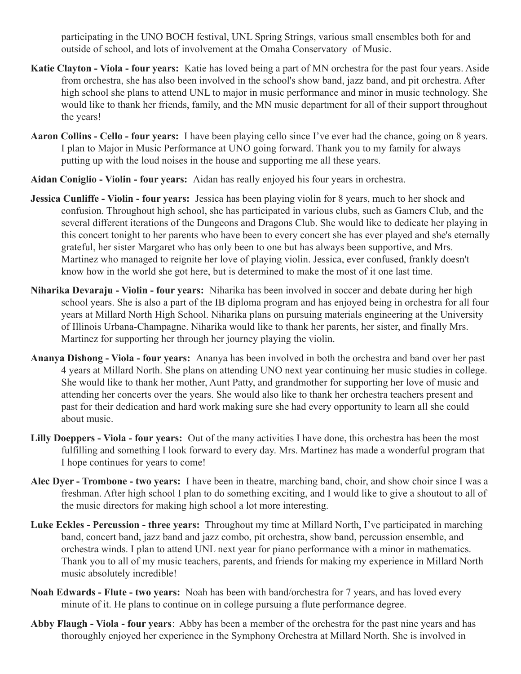participating in the UNO BOCH festival, UNL Spring Strings, various small ensembles both for and outside of school, and lots of involvement at the Omaha Conservatory of Music.

- **Katie Clayton Viola four years:** Katie has loved being a part of MN orchestra for the past four years. Aside from orchestra, she has also been involved in the school's show band, jazz band, and pit orchestra. After high school she plans to attend UNL to major in music performance and minor in music technology. She would like to thank her friends, family, and the MN music department for all of their support throughout the years!
- **Aaron Collins Cello four years:** I have been playing cello since I've ever had the chance, going on 8 years. I plan to Major in Music Performance at UNO going forward. Thank you to my family for always putting up with the loud noises in the house and supporting me all these years.
- **Aidan Coniglio Violin four years:** Aidan has really enjoyed his four years in orchestra.
- **Jessica Cunliffe Violin four years:** Jessica has been playing violin for 8 years, much to her shock and confusion. Throughout high school, she has participated in various clubs, such as Gamers Club, and the several different iterations of the Dungeons and Dragons Club. She would like to dedicate her playing in this concert tonight to her parents who have been to every concert she has ever played and she's eternally grateful, her sister Margaret who has only been to one but has always been supportive, and Mrs. Martinez who managed to reignite her love of playing violin. Jessica, ever confused, frankly doesn't know how in the world she got here, but is determined to make the most of it one last time.
- **Niharika Devaraju Violin four years:** Niharika has been involved in soccer and debate during her high school years. She is also a part of the IB diploma program and has enjoyed being in orchestra for all four years at Millard North High School. Niharika plans on pursuing materials engineering at the University of Illinois Urbana-Champagne. Niharika would like to thank her parents, her sister, and finally Mrs. Martinez for supporting her through her journey playing the violin.
- **Ananya Dishong Viola four years:** Ananya has been involved in both the orchestra and band over her past 4 years at Millard North. She plans on attending UNO next year continuing her music studies in college. She would like to thank her mother, Aunt Patty, and grandmother for supporting her love of music and attending her concerts over the years. She would also like to thank her orchestra teachers present and past for their dedication and hard work making sure she had every opportunity to learn all she could about music.
- **Lilly Doeppers Viola four years:** Out of the many activities I have done, this orchestra has been the most fulfilling and something I look forward to every day. Mrs. Martinez has made a wonderful program that I hope continues for years to come!
- **Alec Dyer Trombone two years:** I have been in theatre, marching band, choir, and show choir since I was a freshman. After high school I plan to do something exciting, and I would like to give a shoutout to all of the music directors for making high school a lot more interesting.
- **Luke Eckles Percussion three years:** Throughout my time at Millard North, I've participated in marching band, concert band, jazz band and jazz combo, pit orchestra, show band, percussion ensemble, and orchestra winds. I plan to attend UNL next year for piano performance with a minor in mathematics. Thank you to all of my music teachers, parents, and friends for making my experience in Millard North music absolutely incredible!
- **Noah Edwards Flute two years:** Noah has been with band/orchestra for 7 years, and has loved every minute of it. He plans to continue on in college pursuing a flute performance degree.
- **Abby Flaugh Viola four years**: Abby has been a member of the orchestra for the past nine years and has thoroughly enjoyed her experience in the Symphony Orchestra at Millard North. She is involved in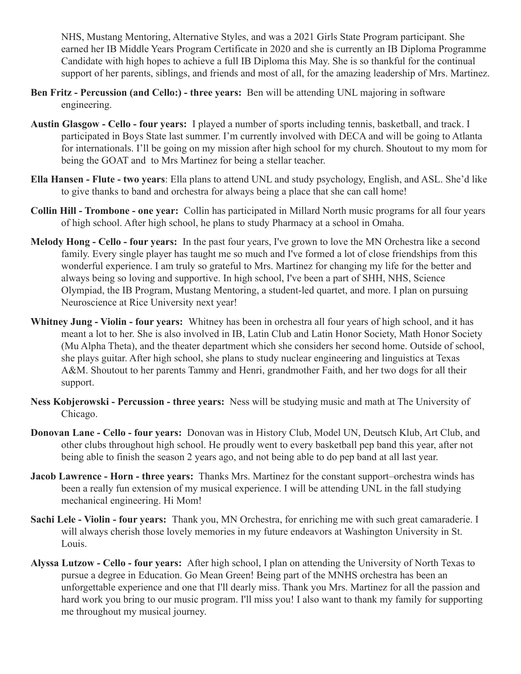NHS, Mustang Mentoring, Alternative Styles, and was a 2021 Girls State Program participant. She earned her IB Middle Years Program Certificate in 2020 and she is currently an IB Diploma Programme Candidate with high hopes to achieve a full IB Diploma this May. She is so thankful for the continual support of her parents, siblings, and friends and most of all, for the amazing leadership of Mrs. Martinez.

- **Ben Fritz Percussion (and Cello:) three years:** Ben will be attending UNL majoring in software engineering.
- **Austin Glasgow Cello four years:** I played a number of sports including tennis, basketball, and track. I participated in Boys State last summer. I'm currently involved with DECA and will be going to Atlanta for internationals. I'll be going on my mission after high school for my church. Shoutout to my mom for being the GOAT and to Mrs Martinez for being a stellar teacher.
- **Ella Hansen Flute two years**: Ella plans to attend UNL and study psychology, English, and ASL. She'd like to give thanks to band and orchestra for always being a place that she can call home!
- **Collin Hill Trombone one year:** Collin has participated in Millard North music programs for all four years of high school. After high school, he plans to study Pharmacy at a school in Omaha.
- **Melody Hong Cello four years:** In the past four years, I've grown to love the MN Orchestra like a second family. Every single player has taught me so much and I've formed a lot of close friendships from this wonderful experience. I am truly so grateful to Mrs. Martinez for changing my life for the better and always being so loving and supportive. In high school, I've been a part of SHH, NHS, Science Olympiad, the IB Program, Mustang Mentoring, a student-led quartet, and more. I plan on pursuing Neuroscience at Rice University next year!
- **Whitney Jung Violin four years:** Whitney has been in orchestra all four years of high school, and it has meant a lot to her. She is also involved in IB, Latin Club and Latin Honor Society, Math Honor Society (Mu Alpha Theta), and the theater department which she considers her second home. Outside of school, she plays guitar. After high school, she plans to study nuclear engineering and linguistics at Texas A&M. Shoutout to her parents Tammy and Henri, grandmother Faith, and her two dogs for all their support.
- **Ness Kobjerowski Percussion three years:** Ness will be studying music and math at The University of Chicago.
- **Donovan Lane Cello four years:** Donovan was in History Club, Model UN, Deutsch Klub, Art Club, and other clubs throughout high school. He proudly went to every basketball pep band this year, after not being able to finish the season 2 years ago, and not being able to do pep band at all last year.
- **Jacob Lawrence Horn three years:** Thanks Mrs. Martinez for the constant support–orchestra winds has been a really fun extension of my musical experience. I will be attending UNL in the fall studying mechanical engineering. Hi Mom!
- **Sachi Lele Violin four years:** Thank you, MN Orchestra, for enriching me with such great camaraderie. I will always cherish those lovely memories in my future endeavors at Washington University in St. Louis.
- **Alyssa Lutzow Cello four years:** After high school, I plan on attending the University of North Texas to pursue a degree in Education. Go Mean Green! Being part of the MNHS orchestra has been an unforgettable experience and one that I'll dearly miss. Thank you Mrs. Martinez for all the passion and hard work you bring to our music program. I'll miss you! I also want to thank my family for supporting me throughout my musical journey.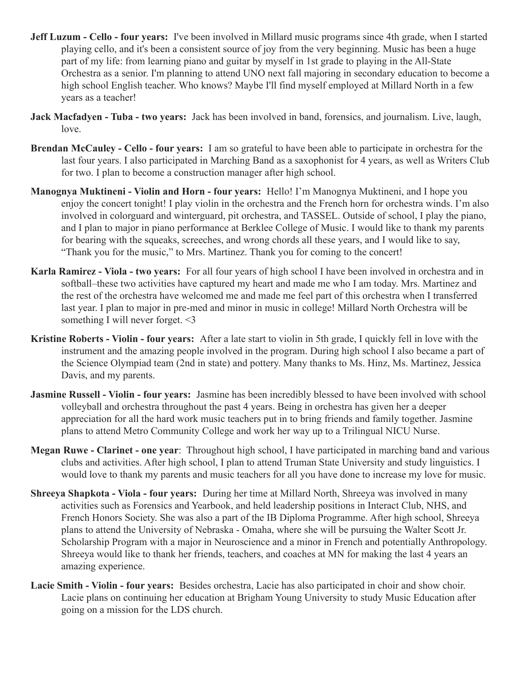- **Jeff Luzum Cello four years:** I've been involved in Millard music programs since 4th grade, when I started playing cello, and it's been a consistent source of joy from the very beginning. Music has been a huge part of my life: from learning piano and guitar by myself in 1st grade to playing in the All-State Orchestra as a senior. I'm planning to attend UNO next fall majoring in secondary education to become a high school English teacher. Who knows? Maybe I'll find myself employed at Millard North in a few years as a teacher!
- **Jack Macfadyen Tuba two years:** Jack has been involved in band, forensics, and journalism. Live, laugh, love.
- **Brendan McCauley Cello four years:** I am so grateful to have been able to participate in orchestra for the last four years. I also participated in Marching Band as a saxophonist for 4 years, as well as Writers Club for two. I plan to become a construction manager after high school.
- **Manognya Muktineni Violin and Horn four years:** Hello! I'm Manognya Muktineni, and I hope you enjoy the concert tonight! I play violin in the orchestra and the French horn for orchestra winds. I'm also involved in colorguard and winterguard, pit orchestra, and TASSEL. Outside of school, I play the piano, and I plan to major in piano performance at Berklee College of Music. I would like to thank my parents for bearing with the squeaks, screeches, and wrong chords all these years, and I would like to say, "Thank you for the music," to Mrs. Martinez. Thank you for coming to the concert!
- **Karla Ramirez Viola two years:** For all four years of high school I have been involved in orchestra and in softball–these two activities have captured my heart and made me who I am today. Mrs. Martinez and the rest of the orchestra have welcomed me and made me feel part of this orchestra when I transferred last year. I plan to major in pre-med and minor in music in college! Millard North Orchestra will be something I will never forget. <3
- **Kristine Roberts Violin four years:** After a late start to violin in 5th grade, I quickly fell in love with the instrument and the amazing people involved in the program. During high school I also became a part of the Science Olympiad team (2nd in state) and pottery. Many thanks to Ms. Hinz, Ms. Martinez, Jessica Davis, and my parents.
- **Jasmine Russell Violin four years:** Jasmine has been incredibly blessed to have been involved with school volleyball and orchestra throughout the past 4 years. Being in orchestra has given her a deeper appreciation for all the hard work music teachers put in to bring friends and family together. Jasmine plans to attend Metro Community College and work her way up to a Trilingual NICU Nurse.
- **Megan Ruwe Clarinet one year**: Throughout high school, I have participated in marching band and various clubs and activities. After high school, I plan to attend Truman State University and study linguistics. I would love to thank my parents and music teachers for all you have done to increase my love for music.
- **Shreeya Shapkota Viola four years:** During her time at Millard North, Shreeya was involved in many activities such as Forensics and Yearbook, and held leadership positions in Interact Club, NHS, and French Honors Society. She was also a part of the IB Diploma Programme. After high school, Shreeya plans to attend the University of Nebraska - Omaha, where she will be pursuing the Walter Scott Jr. Scholarship Program with a major in Neuroscience and a minor in French and potentially Anthropology. Shreeya would like to thank her friends, teachers, and coaches at MN for making the last 4 years an amazing experience.
- **Lacie Smith Violin four years:** Besides orchestra, Lacie has also participated in choir and show choir. Lacie plans on continuing her education at Brigham Young University to study Music Education after going on a mission for the LDS church.